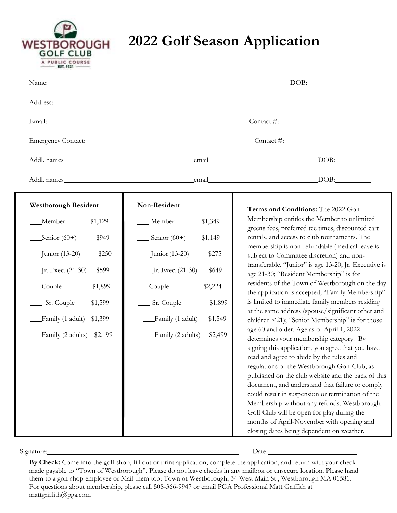

# **2022 Golf Season Application**

|                                       | Address: Analysis and the contract of the contract of the contract of the contract of the contract of the contract of the contract of the contract of the contract of the contract of the contract of the contract of the cont |                                                                                                      |
|---------------------------------------|--------------------------------------------------------------------------------------------------------------------------------------------------------------------------------------------------------------------------------|------------------------------------------------------------------------------------------------------|
|                                       |                                                                                                                                                                                                                                | Email: Contact #: Contact #:                                                                         |
|                                       |                                                                                                                                                                                                                                | Emergency Contact: Contact: Contact: Contact #:                                                      |
|                                       |                                                                                                                                                                                                                                |                                                                                                      |
|                                       |                                                                                                                                                                                                                                |                                                                                                      |
| <b>Westborough Resident</b>           | Non-Resident                                                                                                                                                                                                                   |                                                                                                      |
| Member<br>\$1,129                     | Member<br>\$1,349                                                                                                                                                                                                              | Terms and Conditions: The 2022 Golf<br>Membership entitles the Member to unlimited                   |
| $S$ enior (60+)<br>\$949              | $\frac{1}{2}$ Senior (60+)<br>\$1,149                                                                                                                                                                                          | greens fees, preferred tee times, discounted cart<br>rentals, and access to club tournaments. The    |
| $\frac{1}{2}$ Junior (13-20)<br>\$250 | __ Junior (13-20)<br>\$275                                                                                                                                                                                                     | membership is non-refundable (medical leave is<br>subject to Committee discretion) and non-          |
| _Jr. Exec. (21-30)<br>\$599           | ___ Jr. Exec. (21-30)<br>\$649                                                                                                                                                                                                 | transferable. "Junior" is age 13-20; Jr. Executive is<br>age 21-30; "Resident Membership" is for     |
| Couple<br>\$1,899                     | Couple<br>\$2,224                                                                                                                                                                                                              | residents of the Town of Westborough on the day<br>the application is accepted; "Family Membership"  |
| Sr. Couple<br>\$1,599                 | ____ Sr. Couple<br>\$1,899                                                                                                                                                                                                     | is limited to immediate family members residing                                                      |
| Family (1 adult)<br>\$1,399           | Family (1 adult)<br>\$1,549                                                                                                                                                                                                    | at the same address (spouse/significant other and<br>children <21); "Senior Membership" is for those |
| Family (2 adults) \$2,199             | Family (2 adults)<br>\$2,499                                                                                                                                                                                                   | age 60 and older. Age as of April 1, 2022<br>determines your membership category. By                 |
|                                       |                                                                                                                                                                                                                                | signing this application, you agree that you have<br>read and agree to abide by the rules and        |
|                                       |                                                                                                                                                                                                                                | regulations of the Westborough Golf Club, as<br>published on the club website and the back of this   |
|                                       |                                                                                                                                                                                                                                | document, and understand that failure to comply                                                      |
|                                       |                                                                                                                                                                                                                                | could result in suspension or termination of the                                                     |
|                                       |                                                                                                                                                                                                                                | Membership without any refunds. Westborough                                                          |
|                                       |                                                                                                                                                                                                                                | Golf Club will be open for play during the                                                           |
|                                       |                                                                                                                                                                                                                                | months of April-November with opening and<br>closing dates being dependent on weather.               |

Signature: Date

**By Check:** Come into the golf shop, fill out or print application, complete the application, and return with your check made payable to "Town of Westborough". Please do not leave checks in any mailbox or unsecure location. Please hand them to a golf shop employee or Mail them too: Town of Westborough, 34 West Main St., Westborough MA 01581. For questions about membership, please call 508-366-9947 or email PGA Professional Matt Griffith at mattgriffith@pga.com